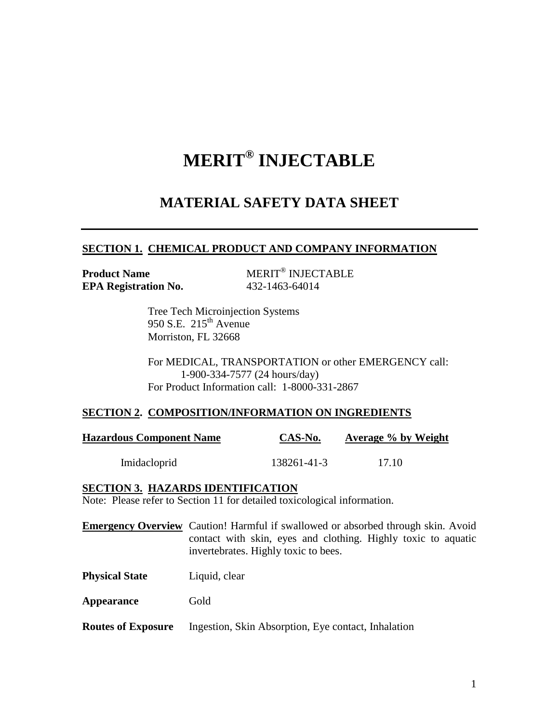# **MERIT® INJECTABLE**

# **MATERIAL SAFETY DATA SHEET**

#### **SECTION 1. CHEMICAL PRODUCT AND COMPANY INFORMATION**

**Product Name EPA Registration No.** 432-1463-64014

MERIT<sup>®</sup> INJECTABLE

Tree Tech Microinjection Systems 950 S.E.  $215<sup>th</sup>$  Avenue Morriston, FL 32668

For MEDICAL, TRANSPORTATION or other EMERGENCY call: 1-900-334-7577 (24 hours/day) For Product Information call: 1-8000-331-2867

#### **SECTION 2. COMPOSITION/INFORMATION ON INGREDIENTS**

| <b>Hazardous Component Name</b> | CAS-No.     | <b>Average % by Weight</b> |
|---------------------------------|-------------|----------------------------|
| Imidacloprid                    | 138261-41-3 | 17.10                      |

#### **SECTION 3. HAZARDS IDENTIFICATION**

Note: Please refer to Section 11 for detailed toxicological information.

**Emergency Overview** Caution! Harmful if swallowed or absorbed through skin. Avoid contact with skin, eyes and clothing. Highly toxic to aquatic invertebrates. Highly toxic to bees.

**Physical State** Liquid, clear

Appearance Gold

**Routes of Exposure** Ingestion, Skin Absorption, Eye contact, Inhalation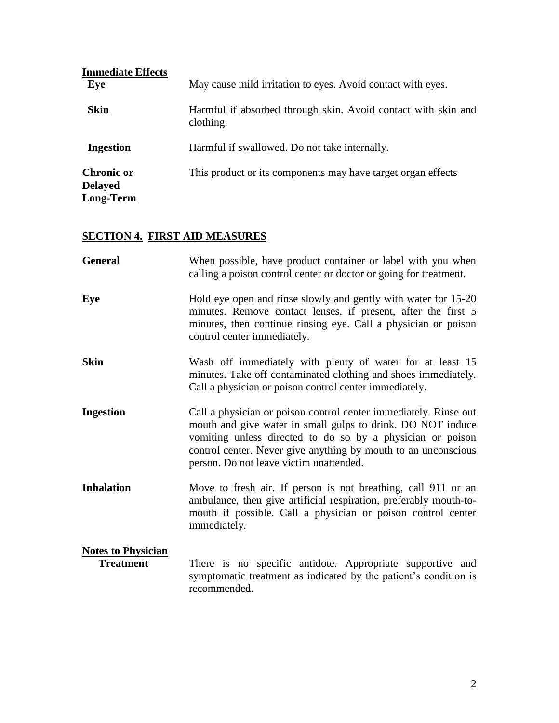| <b>Immediate Effects</b>                                |                                                                            |
|---------------------------------------------------------|----------------------------------------------------------------------------|
| Eye                                                     | May cause mild irritation to eyes. Avoid contact with eyes.                |
| <b>Skin</b>                                             | Harmful if absorbed through skin. Avoid contact with skin and<br>clothing. |
| <b>Ingestion</b>                                        | Harmful if swallowed. Do not take internally.                              |
| <b>Chronic or</b><br><b>Delayed</b><br><b>Long-Term</b> | This product or its components may have target organ effects               |

# **SECTION 4. FIRST AID MEASURES**

| <b>General</b>                                | When possible, have product container or label with you when<br>calling a poison control center or doctor or going for treatment.                                                                                                                                                                          |
|-----------------------------------------------|------------------------------------------------------------------------------------------------------------------------------------------------------------------------------------------------------------------------------------------------------------------------------------------------------------|
| Eye                                           | Hold eye open and rinse slowly and gently with water for 15-20<br>minutes. Remove contact lenses, if present, after the first 5<br>minutes, then continue rinsing eye. Call a physician or poison<br>control center immediately.                                                                           |
| <b>Skin</b>                                   | Wash off immediately with plenty of water for at least 15<br>minutes. Take off contaminated clothing and shoes immediately.<br>Call a physician or poison control center immediately.                                                                                                                      |
| <b>Ingestion</b>                              | Call a physician or poison control center immediately. Rinse out<br>mouth and give water in small gulps to drink. DO NOT induce<br>vomiting unless directed to do so by a physician or poison<br>control center. Never give anything by mouth to an unconscious<br>person. Do not leave victim unattended. |
| <b>Inhalation</b>                             | Move to fresh air. If person is not breathing, call 911 or an<br>ambulance, then give artificial respiration, preferably mouth-to-<br>mouth if possible. Call a physician or poison control center<br>immediately.                                                                                         |
| <b>Notes to Physician</b><br><b>Treatment</b> | There is no specific antidote. Appropriate supportive and<br>symptomatic treatment as indicated by the patient's condition is<br>recommended.                                                                                                                                                              |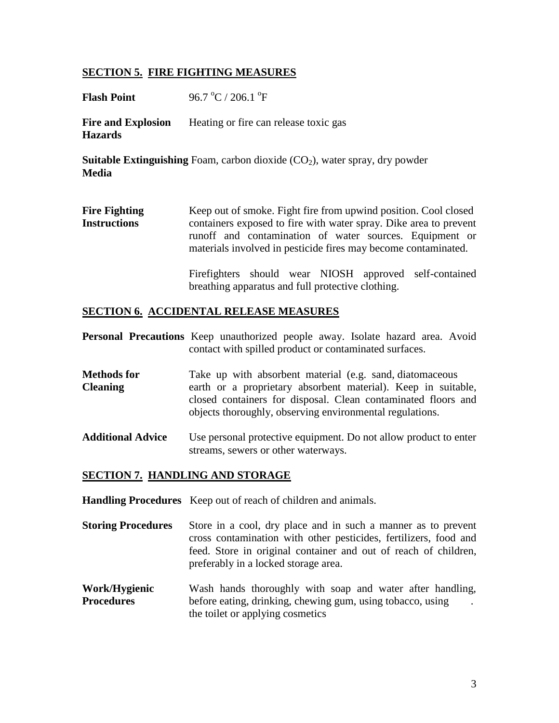#### **SECTION 5. FIRE FIGHTING MEASURES**

**Flash Point** 96.7 °C / 206.1 °F

**Fire and Explosion** Heating or fire can release toxic gas **Hazards**

**Suitable Extinguishing** Foam, carbon dioxide (CO<sub>2</sub>), water spray, dry powder **Media**

**Fire Fighting** Keep out of smoke. Fight fire from upwind position. Cool closed **Instructions** containers exposed to fire with water spray. Dike area to prevent runoff and contamination of water sources. Equipment or materials involved in pesticide fires may become contaminated.

> Firefighters should wear NIOSH approved self-contained breathing apparatus and full protective clothing.

#### **SECTION 6. ACCIDENTAL RELEASE MEASURES**

|  | <b>Personal Precautions</b> Keep unauthorized people away. Isolate hazard area. Avoid |  |  |  |
|--|---------------------------------------------------------------------------------------|--|--|--|
|  | contact with spilled product or contaminated surfaces.                                |  |  |  |

- **Methods for** Take up with absorbent material (e.g. sand, diatomaceous **Cleaning** earth or a proprietary absorbent material). Keep in suitable, closed containers for disposal. Clean contaminated floors and objects thoroughly, observing environmental regulations.
- Additional Advice Use personal protective equipment. Do not allow product to enter streams, sewers or other waterways.

#### **SECTION 7. HANDLING AND STORAGE**

**Handling Procedures** Keep out of reach of children and animals.

- **Storing Procedures** Store in a cool, dry place and in such a manner as to prevent cross contamination with other pesticides, fertilizers, food and feed. Store in original container and out of reach of children, preferably in a locked storage area.
- **Work/Hygienic** Wash hands thoroughly with soap and water after handling, **Procedures** before eating, drinking, chewing gum, using tobacco, using the toilet or applying cosmetics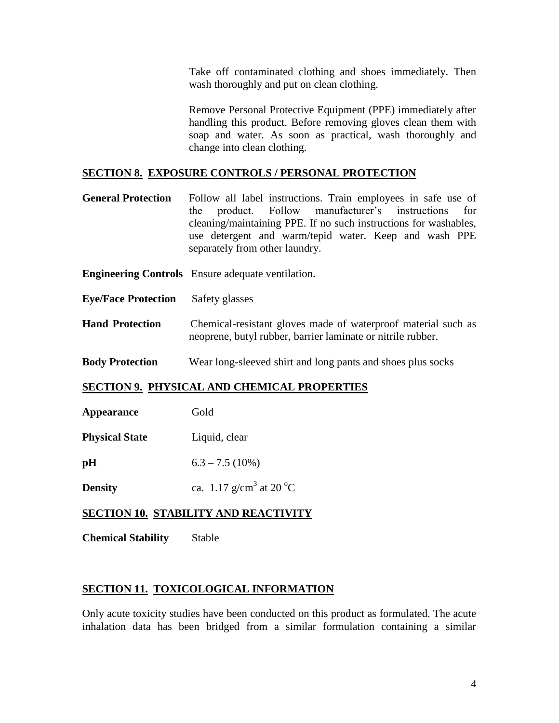Take off contaminated clothing and shoes immediately. Then wash thoroughly and put on clean clothing.

Remove Personal Protective Equipment (PPE) immediately after handling this product. Before removing gloves clean them with soap and water. As soon as practical, wash thoroughly and change into clean clothing.

#### **SECTION 8. EXPOSURE CONTROLS / PERSONAL PROTECTION**

- **General Protection** Follow all label instructions. Train employees in safe use of the product. Follow manufacturer's instructions for cleaning/maintaining PPE. If no such instructions for washables, use detergent and warm/tepid water. Keep and wash PPE separately from other laundry.
- **Engineering Controls** Ensure adequate ventilation.
- **Eye/Face Protection** Safety glasses
- **Hand Protection** Chemical-resistant gloves made of waterproof material such as neoprene, butyl rubber, barrier laminate or nitrile rubber.
- **Body Protection** Wear long-sleeved shirt and long pants and shoes plus socks

#### **SECTION 9. PHYSICAL AND CHEMICAL PROPERTIES**

| Appearance            | Gold              |
|-----------------------|-------------------|
| <b>Physical State</b> | Liquid, clear     |
| pН                    | $6.3 - 7.5(10\%)$ |

**Density** ca.  $1.17 \text{ g/cm}^3$  at  $20 \text{ }^{\circ}\text{C}$ 

#### **SECTION 10. STABILITY AND REACTIVITY**

**Chemical Stability** Stable

#### **SECTION 11. TOXICOLOGICAL INFORMATION**

Only acute toxicity studies have been conducted on this product as formulated. The acute inhalation data has been bridged from a similar formulation containing a similar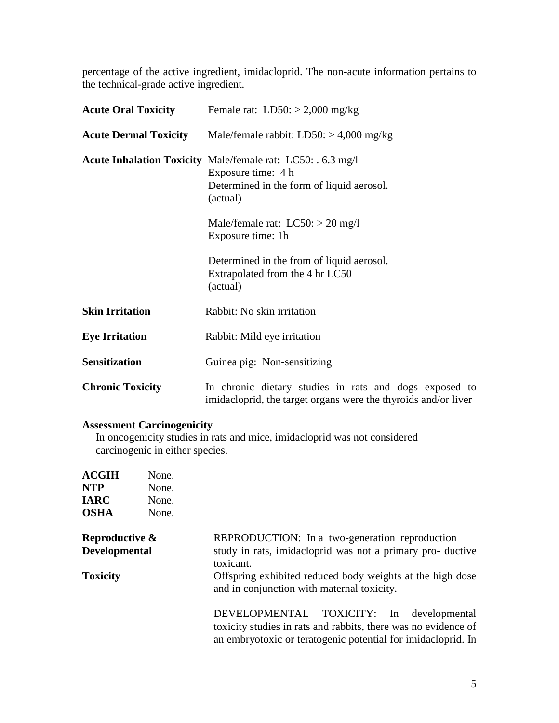percentage of the active ingredient, imidacloprid. The non-acute information pertains to the technical-grade active ingredient.

| <b>Acute Oral Toxicity</b>   | Female rat: $LD50: > 2,000$ mg/kg                                                                                                                 |  |  |  |  |  |  |
|------------------------------|---------------------------------------------------------------------------------------------------------------------------------------------------|--|--|--|--|--|--|
| <b>Acute Dermal Toxicity</b> | Male/female rabbit: $LD50: > 4,000$ mg/kg                                                                                                         |  |  |  |  |  |  |
|                              | <b>Acute Inhalation Toxicity Male/female rat: LC50: . 6.3 mg/l</b><br>Exposure time: 4 h<br>Determined in the form of liquid aerosol.<br>(actual) |  |  |  |  |  |  |
|                              | Male/female rat: $LC50$ : > 20 mg/l<br>Exposure time: 1h                                                                                          |  |  |  |  |  |  |
|                              | Determined in the from of liquid aerosol.<br>Extrapolated from the 4 hr LC50<br>(actual)                                                          |  |  |  |  |  |  |
| <b>Skin Irritation</b>       | Rabbit: No skin irritation                                                                                                                        |  |  |  |  |  |  |
| <b>Eye Irritation</b>        | Rabbit: Mild eye irritation                                                                                                                       |  |  |  |  |  |  |
| <b>Sensitization</b>         | Guinea pig: Non-sensitizing                                                                                                                       |  |  |  |  |  |  |
| <b>Chronic Toxicity</b>      | In chronic dietary studies in rats and dogs exposed to<br>imidacloprid, the target organs were the thyroids and/or liver                          |  |  |  |  |  |  |

## **Assessment Carcinogenicity**

 In oncogenicity studies in rats and mice, imidacloprid was not considered carcinogenic in either species.

| <b>ACGIH</b><br><b>NTP</b><br><b>IARC</b><br><b>OSHA</b> | None.<br>None.<br>None.<br>None. |                                                                                                                                                                               |
|----------------------------------------------------------|----------------------------------|-------------------------------------------------------------------------------------------------------------------------------------------------------------------------------|
| Reproductive &<br><b>Developmental</b>                   |                                  | REPRODUCTION: In a two-generation reproduction<br>study in rats, imidacloprid was not a primary pro- ductive<br>toxicant.                                                     |
| <b>Toxicity</b>                                          |                                  | Offspring exhibited reduced body weights at the high dose<br>and in conjunction with maternal toxicity.                                                                       |
|                                                          |                                  | DEVELOPMENTAL TOXICITY: In<br>developmental<br>toxicity studies in rats and rabbits, there was no evidence of<br>an embryotoxic or teratogenic potential for imidacloprid. In |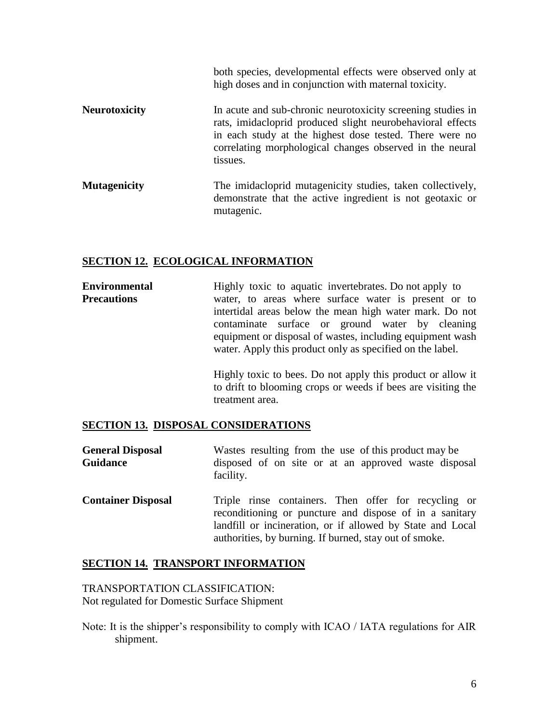|                      | both species, developmental effects were observed only at<br>high doses and in conjunction with maternal toxicity.                                                                                                                                           |
|----------------------|--------------------------------------------------------------------------------------------------------------------------------------------------------------------------------------------------------------------------------------------------------------|
| <b>Neurotoxicity</b> | In acute and sub-chronic neurotoxicity screening studies in<br>rats, imidacloprid produced slight neurobehavioral effects<br>in each study at the highest dose tested. There were no<br>correlating morphological changes observed in the neural<br>tissues. |
| <b>Mutagenicity</b>  | The imidacloprid mutagenicity studies, taken collectively,<br>demonstrate that the active ingredient is not geotaxic or<br>mutagenic.                                                                                                                        |

#### **SECTION 12. ECOLOGICAL INFORMATION**

**Environmental** Highly toxic to aquatic invertebrates. Do not apply to **Precautions** water, to areas where surface water is present or to intertidal areas below the mean high water mark. Do not contaminate surface or ground water by cleaning equipment or disposal of wastes, including equipment wash water. Apply this product only as specified on the label.

> Highly toxic to bees. Do not apply this product or allow it to drift to blooming crops or weeds if bees are visiting the treatment area.

#### **SECTION 13. DISPOSAL CONSIDERATIONS**

| <b>General Disposal</b> |           |  |  |  | Wastes resulting from the use of this product may be |  |
|-------------------------|-----------|--|--|--|------------------------------------------------------|--|
| <b>Guidance</b>         |           |  |  |  | disposed of on site or at an approved waste disposal |  |
|                         | facility. |  |  |  |                                                      |  |

**Container Disposal** Triple rinse containers. Then offer for recycling or reconditioning or puncture and dispose of in a sanitary landfill or incineration, or if allowed by State and Local authorities, by burning. If burned, stay out of smoke.

#### **SECTION 14. TRANSPORT INFORMATION**

TRANSPORTATION CLASSIFICATION: Not regulated for Domestic Surface Shipment

Note: It is the shipper's responsibility to comply with ICAO / IATA regulations for AIR shipment.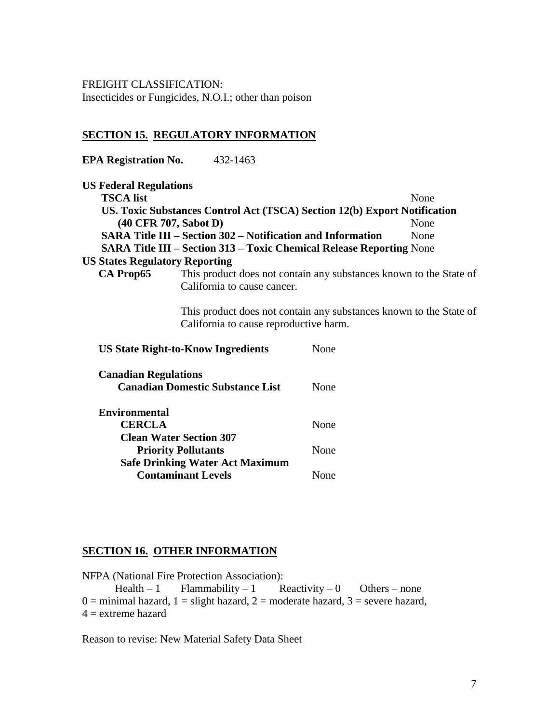FREIGHT CLASSIFICATION: Insecticides or Fungicides, N.O.I.; other than poison

# **SECTION 15. REGULATORY INFORMATION**

**EPA Registration No.** 432-1463

| <b>US Federal Regulations</b>             |                                                                                                              |      |      |
|-------------------------------------------|--------------------------------------------------------------------------------------------------------------|------|------|
| <b>TSCA</b> list                          |                                                                                                              |      | None |
|                                           | US. Toxic Substances Control Act (TSCA) Section 12(b) Export Notification                                    |      |      |
|                                           | $(40 \text{ CFR } 707, \text{Sabot } D)$                                                                     |      | None |
|                                           | <b>SARA Title III – Section 302 – Notification and Information</b>                                           |      | None |
|                                           | <b>SARA Title III - Section 313 - Toxic Chemical Release Reporting None</b>                                  |      |      |
| <b>US States Regulatory Reporting</b>     |                                                                                                              |      |      |
| CA Prop65                                 | This product does not contain any substances known to the State of                                           |      |      |
|                                           | California to cause cancer.                                                                                  |      |      |
|                                           | This product does not contain any substances known to the State of<br>California to cause reproductive harm. |      |      |
|                                           | <b>US State Right-to-Know Ingredients</b>                                                                    | None |      |
| <b>Canadian Regulations</b>               | <b>Canadian Domestic Substance List</b>                                                                      | None |      |
| Environmental<br>$\alpha$ mm $\alpha$ t i |                                                                                                              |      |      |

| <b>CERCLA</b>                          | None |
|----------------------------------------|------|
| <b>Clean Water Section 307</b>         |      |
| <b>Priority Pollutants</b>             | None |
| <b>Safe Drinking Water Act Maximum</b> |      |
| <b>Contaminant Levels</b>              | None |

## **SECTION 16. OTHER INFORMATION**

NFPA (National Fire Protection Association):<br>Health – 1 Flammability – 1 R Health – 1 Flammability – 1 Reactivity – 0 Others – none  $0 =$  minimal hazard,  $1 =$  slight hazard,  $2 =$  moderate hazard,  $3 =$  severe hazard,  $4 =$  extreme hazard

Reason to revise: New Material Safety Data Sheet